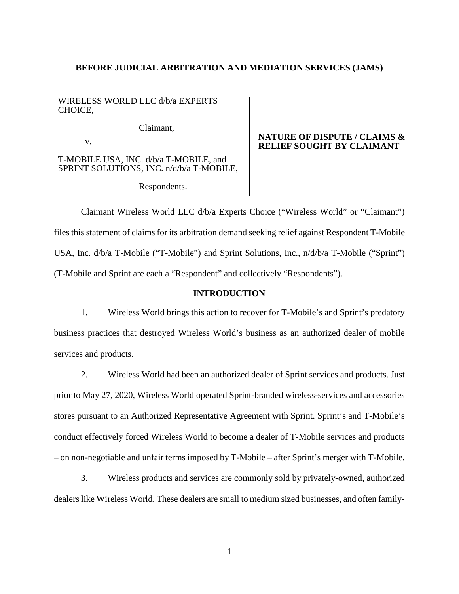### **BEFORE JUDICIAL ARBITRATION AND MEDIATION SERVICES (JAMS)**

WIRELESS WORLD LLC d/b/a EXPERTS CHOICE,

Claimant,

v.

T-MOBILE USA, INC. d/b/a T-MOBILE, and SPRINT SOLUTIONS, INC. n/d/b/a T-MOBILE,

Respondents.

## **NATURE OF DISPUTE / CLAIMS & RELIEF SOUGHT BY CLAIMANT**

Claimant Wireless World LLC d/b/a Experts Choice ("Wireless World" or "Claimant") files this statement of claims for its arbitration demand seeking relief against Respondent T-Mobile USA, Inc. d/b/a T-Mobile ("T-Mobile") and Sprint Solutions, Inc., n/d/b/a T-Mobile ("Sprint") (T-Mobile and Sprint are each a "Respondent" and collectively "Respondents").

## **INTRODUCTION**

1. Wireless World brings this action to recover for T-Mobile's and Sprint's predatory business practices that destroyed Wireless World's business as an authorized dealer of mobile services and products.

2. Wireless World had been an authorized dealer of Sprint services and products. Just prior to May 27, 2020, Wireless World operated Sprint-branded wireless-services and accessories stores pursuant to an Authorized Representative Agreement with Sprint. Sprint's and T-Mobile's conduct effectively forced Wireless World to become a dealer of T-Mobile services and products – on non-negotiable and unfair terms imposed by T-Mobile – after Sprint's merger with T-Mobile.

3. Wireless products and services are commonly sold by privately-owned, authorized dealers like Wireless World. These dealers are small to medium sized businesses, and often family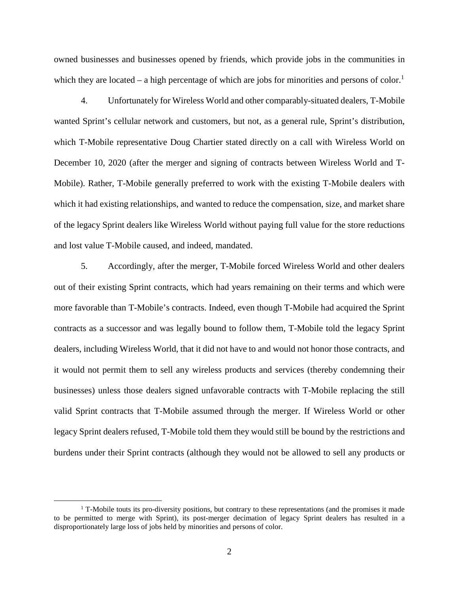owned businesses and businesses opened by friends, which provide jobs in the communities in which they are located – a high percentage of which are jobs for minorities and persons of color.<sup>1</sup>

4. Unfortunately for Wireless World and other comparably-situated dealers, T-Mobile wanted Sprint's cellular network and customers, but not, as a general rule, Sprint's distribution, which T-Mobile representative Doug Chartier stated directly on a call with Wireless World on December 10, 2020 (after the merger and signing of contracts between Wireless World and T-Mobile). Rather, T-Mobile generally preferred to work with the existing T-Mobile dealers with which it had existing relationships, and wanted to reduce the compensation, size, and market share of the legacy Sprint dealers like Wireless World without paying full value for the store reductions and lost value T-Mobile caused, and indeed, mandated.

5. Accordingly, after the merger, T-Mobile forced Wireless World and other dealers out of their existing Sprint contracts, which had years remaining on their terms and which were more favorable than T-Mobile's contracts. Indeed, even though T-Mobile had acquired the Sprint contracts as a successor and was legally bound to follow them, T-Mobile told the legacy Sprint dealers, including Wireless World, that it did not have to and would not honor those contracts, and it would not permit them to sell any wireless products and services (thereby condemning their businesses) unless those dealers signed unfavorable contracts with T-Mobile replacing the still valid Sprint contracts that T-Mobile assumed through the merger. If Wireless World or other legacy Sprint dealers refused, T-Mobile told them they would still be bound by the restrictions and burdens under their Sprint contracts (although they would not be allowed to sell any products or

<sup>&</sup>lt;sup>1</sup> T-Mobile touts its pro-diversity positions, but contrary to these representations (and the promises it made to be permitted to merge with Sprint), its post-merger decimation of legacy Sprint dealers has resulted in a disproportionately large loss of jobs held by minorities and persons of color.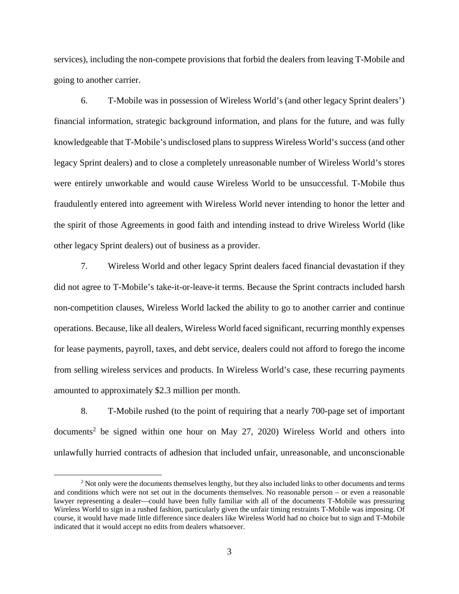services), including the non-compete provisions that forbid the dealers from leaving T-Mobile and going to another carrier.

6. T-Mobile was in possession of Wireless World's (and other legacy Sprint dealers') financial information, strategic background information, and plans for the future, and was fully knowledgeable that T-Mobile's undisclosed plans to suppress Wireless World's success (and other legacy Sprint dealers) and to close a completely unreasonable number of Wireless World's stores were entirely unworkable and would cause Wireless World to be unsuccessful. T-Mobile thus fraudulently entered into agreement with Wireless World never intending to honor the letter and the spirit of those Agreements in good faith and intending instead to drive Wireless World (like other legacy Sprint dealers) out of business as a provider.

7. Wireless World and other legacy Sprint dealers faced financial devastation if they did not agree to T-Mobile's take-it-or-leave-it terms. Because the Sprint contracts included harsh non-competition clauses, Wireless World lacked the ability to go to another carrier and continue operations. Because, like all dealers, Wireless World faced significant, recurring monthly expenses for lease payments, payroll, taxes, and debt service, dealers could not afford to forego the income from selling wireless services and products. In Wireless World's case, these recurring payments amounted to approximately \$2.3 million per month.

8. T-Mobile rushed (to the point of requiring that a nearly 700-page set of important documents<sup>2</sup> be signed within one hour on May 27, 2020) Wireless World and others into unlawfully hurried contracts of adhesion that included unfair, unreasonable, and unconscionable

<sup>&</sup>lt;sup>2</sup> Not only were the documents themselves lengthy, but they also included links to other documents and terms and conditions which were not set out in the documents themselves. No reasonable person – or even a reasonable lawyer representing a dealer—could have been fully familiar with all of the documents T-Mobile was pressuring Wireless World to sign in a rushed fashion, particularly given the unfair timing restraints T-Mobile was imposing. Of course, it would have made little difference since dealers like Wireless World had no choice but to sign and T-Mobile indicated that it would accept no edits from dealers whatsoever.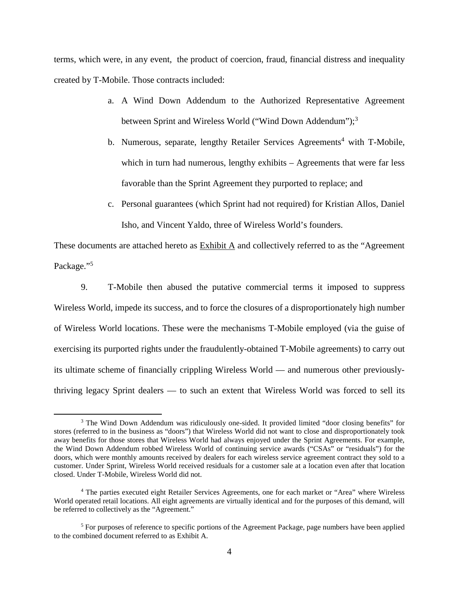terms, which were, in any event, the product of coercion, fraud, financial distress and inequality created by T-Mobile. Those contracts included:

- a. A Wind Down Addendum to the Authorized Representative Agreement between Sprint and Wireless World ("Wind Down Addendum");<sup>3</sup>
- b. Numerous, separate, lengthy Retailer Services Agreements<sup>4</sup> with T-Mobile, which in turn had numerous, lengthy exhibits – Agreements that were far less favorable than the Sprint Agreement they purported to replace; and
- c. Personal guarantees (which Sprint had not required) for Kristian Allos, Daniel Isho, and Vincent Yaldo, three of Wireless World's founders.

These documents are attached hereto as  $\overline{\text{Exhibit A}}$  and collectively referred to as the "Agreement" Package."<sup>5</sup>

9. T-Mobile then abused the putative commercial terms it imposed to suppress Wireless World, impede its success, and to force the closures of a disproportionately high number of Wireless World locations. These were the mechanisms T-Mobile employed (via the guise of exercising its purported rights under the fraudulently-obtained T-Mobile agreements) to carry out its ultimate scheme of financially crippling Wireless World — and numerous other previouslythriving legacy Sprint dealers — to such an extent that Wireless World was forced to sell its

<sup>&</sup>lt;sup>3</sup> The Wind Down Addendum was ridiculously one-sided. It provided limited "door closing benefits" for stores (referred to in the business as "doors") that Wireless World did not want to close and disproportionately took away benefits for those stores that Wireless World had always enjoyed under the Sprint Agreements. For example, the Wind Down Addendum robbed Wireless World of continuing service awards ("CSAs" or "residuals") for the doors, which were monthly amounts received by dealers for each wireless service agreement contract they sold to a customer. Under Sprint, Wireless World received residuals for a customer sale at a location even after that location closed. Under T-Mobile, Wireless World did not.

<sup>&</sup>lt;sup>4</sup> The parties executed eight Retailer Services Agreements, one for each market or "Area" where Wireless World operated retail locations. All eight agreements are virtually identical and for the purposes of this demand, will be referred to collectively as the "Agreement."

<sup>&</sup>lt;sup>5</sup> For purposes of reference to specific portions of the Agreement Package, page numbers have been applied to the combined document referred to as Exhibit A.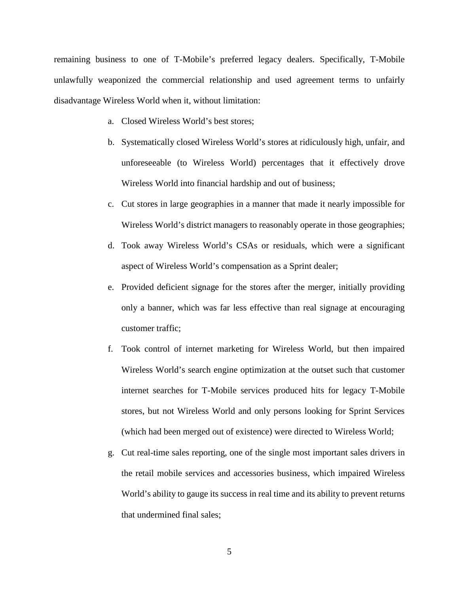remaining business to one of T-Mobile's preferred legacy dealers. Specifically, T-Mobile unlawfully weaponized the commercial relationship and used agreement terms to unfairly disadvantage Wireless World when it, without limitation:

- a. Closed Wireless World's best stores;
- b. Systematically closed Wireless World's stores at ridiculously high, unfair, and unforeseeable (to Wireless World) percentages that it effectively drove Wireless World into financial hardship and out of business;
- c. Cut stores in large geographies in a manner that made it nearly impossible for Wireless World's district managers to reasonably operate in those geographies;
- d. Took away Wireless World's CSAs or residuals, which were a significant aspect of Wireless World's compensation as a Sprint dealer;
- e. Provided deficient signage for the stores after the merger, initially providing only a banner, which was far less effective than real signage at encouraging customer traffic;
- f. Took control of internet marketing for Wireless World, but then impaired Wireless World's search engine optimization at the outset such that customer internet searches for T-Mobile services produced hits for legacy T-Mobile stores, but not Wireless World and only persons looking for Sprint Services (which had been merged out of existence) were directed to Wireless World;
- g. Cut real-time sales reporting, one of the single most important sales drivers in the retail mobile services and accessories business, which impaired Wireless World's ability to gauge its success in real time and its ability to prevent returns that undermined final sales;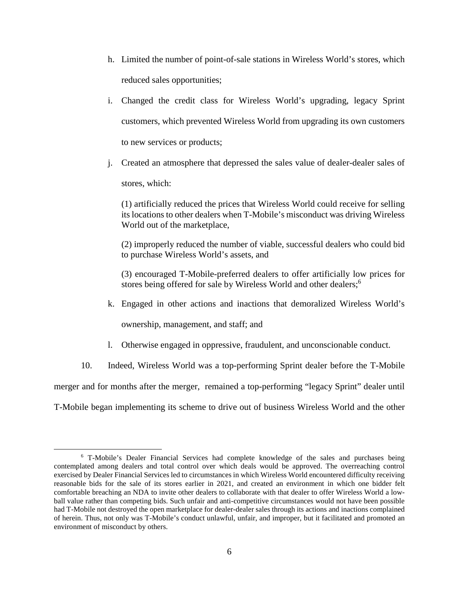- h. Limited the number of point-of-sale stations in Wireless World's stores, which reduced sales opportunities;
- i. Changed the credit class for Wireless World's upgrading, legacy Sprint customers, which prevented Wireless World from upgrading its own customers to new services or products;
- j. Created an atmosphere that depressed the sales value of dealer-dealer sales of stores, which:

(1) artificially reduced the prices that Wireless World could receive for selling its locations to other dealers when T-Mobile's misconduct was driving Wireless World out of the marketplace,

(2) improperly reduced the number of viable, successful dealers who could bid to purchase Wireless World's assets, and

(3) encouraged T-Mobile-preferred dealers to offer artificially low prices for stores being offered for sale by Wireless World and other dealers;<sup>6</sup>

k. Engaged in other actions and inactions that demoralized Wireless World's

ownership, management, and staff; and

- l. Otherwise engaged in oppressive, fraudulent, and unconscionable conduct.
- 10. Indeed, Wireless World was a top-performing Sprint dealer before the T-Mobile

merger and for months after the merger, remained a top-performing "legacy Sprint" dealer until

T-Mobile began implementing its scheme to drive out of business Wireless World and the other

<sup>&</sup>lt;sup>6</sup> T-Mobile's Dealer Financial Services had complete knowledge of the sales and purchases being contemplated among dealers and total control over which deals would be approved. The overreaching control exercised by Dealer Financial Services led to circumstances in which Wireless World encountered difficulty receiving reasonable bids for the sale of its stores earlier in 2021, and created an environment in which one bidder felt comfortable breaching an NDA to invite other dealers to collaborate with that dealer to offer Wireless World a lowball value rather than competing bids. Such unfair and anti-competitive circumstances would not have been possible had T-Mobile not destroyed the open marketplace for dealer-dealer sales through its actions and inactions complained of herein. Thus, not only was T-Mobile's conduct unlawful, unfair, and improper, but it facilitated and promoted an environment of misconduct by others.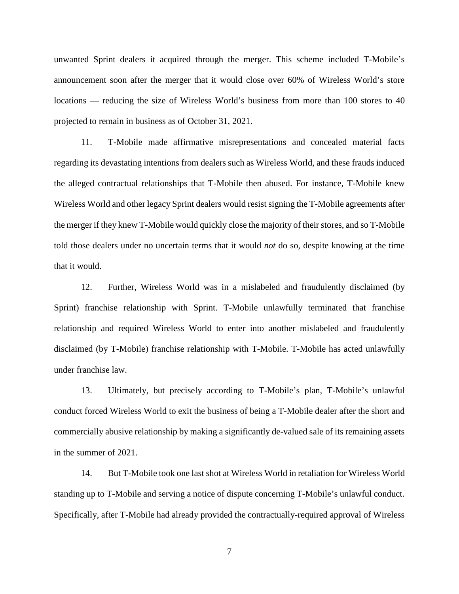unwanted Sprint dealers it acquired through the merger. This scheme included T-Mobile's announcement soon after the merger that it would close over 60% of Wireless World's store locations — reducing the size of Wireless World's business from more than 100 stores to 40 projected to remain in business as of October 31, 2021.

11. T-Mobile made affirmative misrepresentations and concealed material facts regarding its devastating intentions from dealers such as Wireless World, and these frauds induced the alleged contractual relationships that T-Mobile then abused. For instance, T-Mobile knew Wireless World and other legacy Sprint dealers would resist signing the T-Mobile agreements after the merger if they knew T-Mobile would quickly close the majority of their stores, and so T-Mobile told those dealers under no uncertain terms that it would *not* do so, despite knowing at the time that it would.

12. Further, Wireless World was in a mislabeled and fraudulently disclaimed (by Sprint) franchise relationship with Sprint. T-Mobile unlawfully terminated that franchise relationship and required Wireless World to enter into another mislabeled and fraudulently disclaimed (by T-Mobile) franchise relationship with T-Mobile. T-Mobile has acted unlawfully under franchise law.

13. Ultimately, but precisely according to T-Mobile's plan, T-Mobile's unlawful conduct forced Wireless World to exit the business of being a T-Mobile dealer after the short and commercially abusive relationship by making a significantly de-valued sale of its remaining assets in the summer of 2021.

14. But T-Mobile took one last shot at Wireless World in retaliation for Wireless World standing up to T-Mobile and serving a notice of dispute concerning T-Mobile's unlawful conduct. Specifically, after T-Mobile had already provided the contractually-required approval of Wireless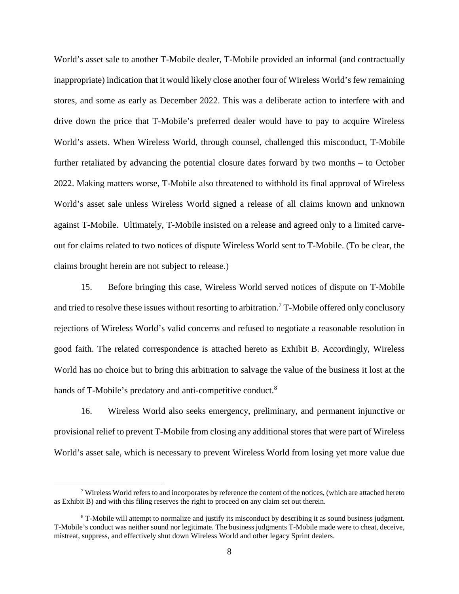World's asset sale to another T-Mobile dealer, T-Mobile provided an informal (and contractually inappropriate) indication that it would likely close another four of Wireless World's few remaining stores, and some as early as December 2022. This was a deliberate action to interfere with and drive down the price that T-Mobile's preferred dealer would have to pay to acquire Wireless World's assets. When Wireless World, through counsel, challenged this misconduct, T-Mobile further retaliated by advancing the potential closure dates forward by two months – to October 2022. Making matters worse, T-Mobile also threatened to withhold its final approval of Wireless World's asset sale unless Wireless World signed a release of all claims known and unknown against T-Mobile. Ultimately, T-Mobile insisted on a release and agreed only to a limited carveout for claims related to two notices of dispute Wireless World sent to T-Mobile. (To be clear, the claims brought herein are not subject to release.)

15. Before bringing this case, Wireless World served notices of dispute on T-Mobile and tried to resolve these issues without resorting to arbitration.<sup>7</sup> T-Mobile offered only conclusory rejections of Wireless World's valid concerns and refused to negotiate a reasonable resolution in good faith. The related correspondence is attached hereto as Exhibit B. Accordingly, Wireless World has no choice but to bring this arbitration to salvage the value of the business it lost at the hands of T-Mobile's predatory and anti-competitive conduct.<sup>8</sup>

16. Wireless World also seeks emergency, preliminary, and permanent injunctive or provisional relief to prevent T-Mobile from closing any additional stores that were part of Wireless World's asset sale, which is necessary to prevent Wireless World from losing yet more value due

 $7$  Wireless World refers to and incorporates by reference the content of the notices, (which are attached hereto as Exhibit B) and with this filing reserves the right to proceed on any claim set out therein.

<sup>&</sup>lt;sup>8</sup> T-Mobile will attempt to normalize and justify its misconduct by describing it as sound business judgment. T-Mobile's conduct was neither sound nor legitimate. The business judgments T-Mobile made were to cheat, deceive, mistreat, suppress, and effectively shut down Wireless World and other legacy Sprint dealers.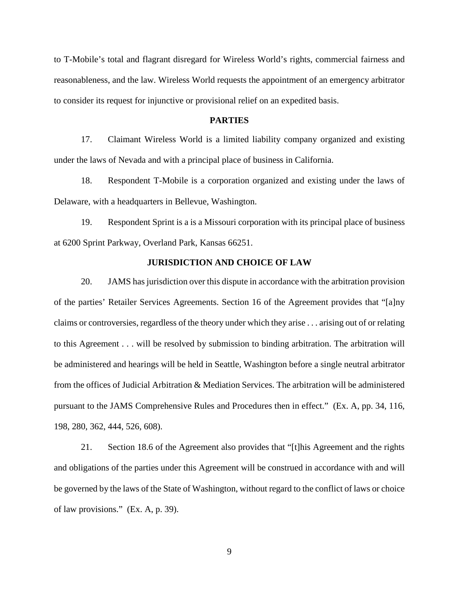to T-Mobile's total and flagrant disregard for Wireless World's rights, commercial fairness and reasonableness, and the law. Wireless World requests the appointment of an emergency arbitrator to consider its request for injunctive or provisional relief on an expedited basis.

### **PARTIES**

17. Claimant Wireless World is a limited liability company organized and existing under the laws of Nevada and with a principal place of business in California.

18. Respondent T-Mobile is a corporation organized and existing under the laws of Delaware, with a headquarters in Bellevue, Washington.

19. Respondent Sprint is a is a Missouri corporation with its principal place of business at 6200 Sprint Parkway, Overland Park, Kansas 66251.

# **JURISDICTION AND CHOICE OF LAW**

20. JAMS has jurisdiction over this dispute in accordance with the arbitration provision of the parties' Retailer Services Agreements. Section 16 of the Agreement provides that "[a]ny claims or controversies, regardless of the theory under which they arise . . . arising out of or relating to this Agreement . . . will be resolved by submission to binding arbitration. The arbitration will be administered and hearings will be held in Seattle, Washington before a single neutral arbitrator from the offices of Judicial Arbitration & Mediation Services. The arbitration will be administered pursuant to the JAMS Comprehensive Rules and Procedures then in effect." (Ex. A, pp. 34, 116, 198, 280, 362, 444, 526, 608).

21. Section 18.6 of the Agreement also provides that "[t]his Agreement and the rights and obligations of the parties under this Agreement will be construed in accordance with and will be governed by the laws of the State of Washington, without regard to the conflict of laws or choice of law provisions." (Ex. A, p. 39).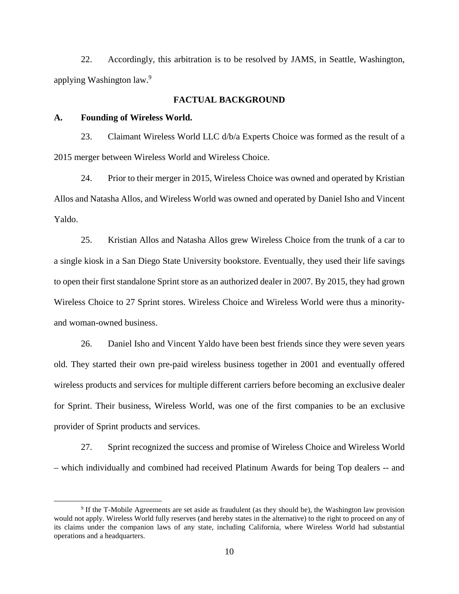22. Accordingly, this arbitration is to be resolved by JAMS, in Seattle, Washington, applying Washington law.<sup>9</sup>

# **FACTUAL BACKGROUND**

#### **A. Founding of Wireless World.**

23. Claimant Wireless World LLC d/b/a Experts Choice was formed as the result of a 2015 merger between Wireless World and Wireless Choice.

24. Prior to their merger in 2015, Wireless Choice was owned and operated by Kristian Allos and Natasha Allos, and Wireless World was owned and operated by Daniel Isho and Vincent Yaldo.

25. Kristian Allos and Natasha Allos grew Wireless Choice from the trunk of a car to a single kiosk in a San Diego State University bookstore. Eventually, they used their life savings to open their first standalone Sprint store as an authorized dealer in 2007. By 2015, they had grown Wireless Choice to 27 Sprint stores. Wireless Choice and Wireless World were thus a minorityand woman-owned business.

26. Daniel Isho and Vincent Yaldo have been best friends since they were seven years old. They started their own pre-paid wireless business together in 2001 and eventually offered wireless products and services for multiple different carriers before becoming an exclusive dealer for Sprint. Their business, Wireless World, was one of the first companies to be an exclusive provider of Sprint products and services.

27. Sprint recognized the success and promise of Wireless Choice and Wireless World – which individually and combined had received Platinum Awards for being Top dealers -- and

<sup>&</sup>lt;sup>9</sup> If the T-Mobile Agreements are set aside as fraudulent (as they should be), the Washington law provision would not apply. Wireless World fully reserves (and hereby states in the alternative) to the right to proceed on any of its claims under the companion laws of any state, including California, where Wireless World had substantial operations and a headquarters.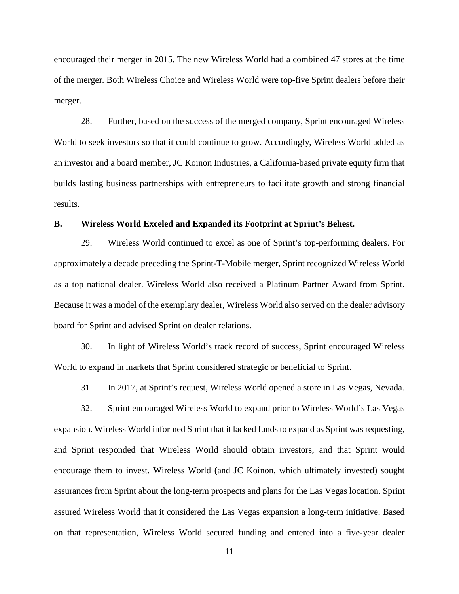encouraged their merger in 2015. The new Wireless World had a combined 47 stores at the time of the merger. Both Wireless Choice and Wireless World were top-five Sprint dealers before their merger.

28. Further, based on the success of the merged company, Sprint encouraged Wireless World to seek investors so that it could continue to grow. Accordingly, Wireless World added as an investor and a board member, JC Koinon Industries, a California-based private equity firm that builds lasting business partnerships with entrepreneurs to facilitate growth and strong financial results.

#### **B. Wireless World Exceled and Expanded its Footprint at Sprint's Behest.**

29. Wireless World continued to excel as one of Sprint's top-performing dealers. For approximately a decade preceding the Sprint-T-Mobile merger, Sprint recognized Wireless World as a top national dealer. Wireless World also received a Platinum Partner Award from Sprint. Because it was a model of the exemplary dealer, Wireless World also served on the dealer advisory board for Sprint and advised Sprint on dealer relations.

30. In light of Wireless World's track record of success, Sprint encouraged Wireless World to expand in markets that Sprint considered strategic or beneficial to Sprint.

31. In 2017, at Sprint's request, Wireless World opened a store in Las Vegas, Nevada.

32. Sprint encouraged Wireless World to expand prior to Wireless World's Las Vegas expansion. Wireless World informed Sprint that it lacked funds to expand as Sprint was requesting, and Sprint responded that Wireless World should obtain investors, and that Sprint would encourage them to invest. Wireless World (and JC Koinon, which ultimately invested) sought assurances from Sprint about the long-term prospects and plans for the Las Vegas location. Sprint assured Wireless World that it considered the Las Vegas expansion a long-term initiative. Based on that representation, Wireless World secured funding and entered into a five-year dealer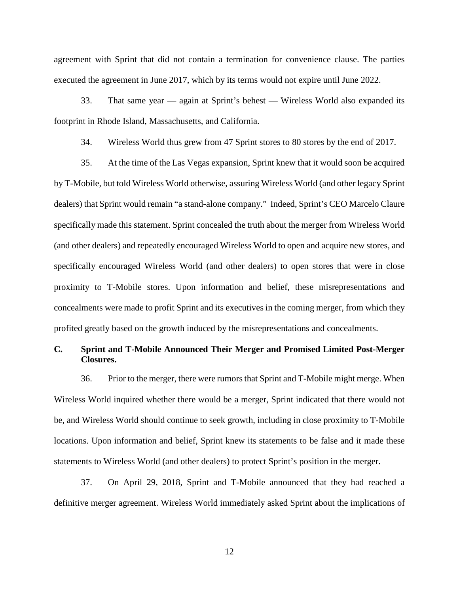agreement with Sprint that did not contain a termination for convenience clause. The parties executed the agreement in June 2017, which by its terms would not expire until June 2022.

33. That same year — again at Sprint's behest — Wireless World also expanded its footprint in Rhode Island, Massachusetts, and California.

34. Wireless World thus grew from 47 Sprint stores to 80 stores by the end of 2017.

35. At the time of the Las Vegas expansion, Sprint knew that it would soon be acquired by T-Mobile, but told Wireless World otherwise, assuring Wireless World (and other legacy Sprint dealers) that Sprint would remain "a stand-alone company." Indeed, Sprint's CEO Marcelo Claure specifically made this statement. Sprint concealed the truth about the merger from Wireless World (and other dealers) and repeatedly encouraged Wireless World to open and acquire new stores, and specifically encouraged Wireless World (and other dealers) to open stores that were in close proximity to T-Mobile stores. Upon information and belief, these misrepresentations and concealments were made to profit Sprint and its executives in the coming merger, from which they profited greatly based on the growth induced by the misrepresentations and concealments.

# **C. Sprint and T-Mobile Announced Their Merger and Promised Limited Post-Merger Closures.**

36. Prior to the merger, there were rumors that Sprint and T-Mobile might merge. When Wireless World inquired whether there would be a merger, Sprint indicated that there would not be, and Wireless World should continue to seek growth, including in close proximity to T-Mobile locations. Upon information and belief, Sprint knew its statements to be false and it made these statements to Wireless World (and other dealers) to protect Sprint's position in the merger.

37. On April 29, 2018, Sprint and T-Mobile announced that they had reached a definitive merger agreement. Wireless World immediately asked Sprint about the implications of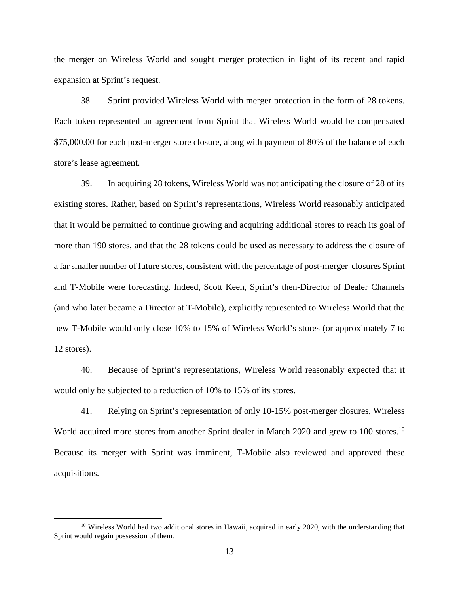the merger on Wireless World and sought merger protection in light of its recent and rapid expansion at Sprint's request.

38. Sprint provided Wireless World with merger protection in the form of 28 tokens. Each token represented an agreement from Sprint that Wireless World would be compensated \$75,000.00 for each post-merger store closure, along with payment of 80% of the balance of each store's lease agreement.

39. In acquiring 28 tokens, Wireless World was not anticipating the closure of 28 of its existing stores. Rather, based on Sprint's representations, Wireless World reasonably anticipated that it would be permitted to continue growing and acquiring additional stores to reach its goal of more than 190 stores, and that the 28 tokens could be used as necessary to address the closure of a far smaller number of future stores, consistent with the percentage of post-merger closures Sprint and T-Mobile were forecasting. Indeed, Scott Keen, Sprint's then-Director of Dealer Channels (and who later became a Director at T-Mobile), explicitly represented to Wireless World that the new T-Mobile would only close 10% to 15% of Wireless World's stores (or approximately 7 to 12 stores).

40. Because of Sprint's representations, Wireless World reasonably expected that it would only be subjected to a reduction of 10% to 15% of its stores.

41. Relying on Sprint's representation of only 10-15% post-merger closures, Wireless World acquired more stores from another Sprint dealer in March 2020 and grew to 100 stores.<sup>10</sup> Because its merger with Sprint was imminent, T-Mobile also reviewed and approved these acquisitions.

 $10$  Wireless World had two additional stores in Hawaii, acquired in early 2020, with the understanding that Sprint would regain possession of them.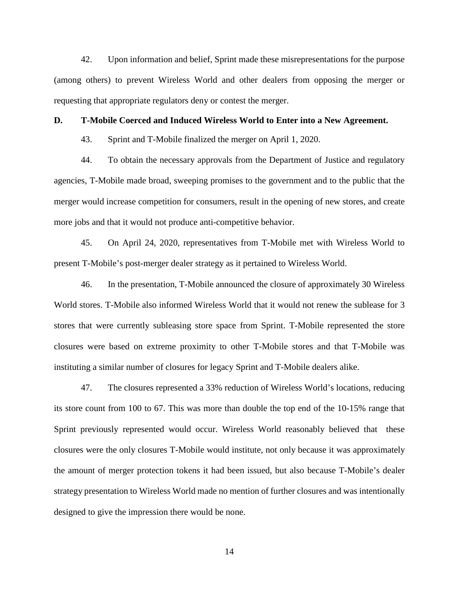42. Upon information and belief, Sprint made these misrepresentations for the purpose (among others) to prevent Wireless World and other dealers from opposing the merger or requesting that appropriate regulators deny or contest the merger.

#### **D. T-Mobile Coerced and Induced Wireless World to Enter into a New Agreement.**

43. Sprint and T-Mobile finalized the merger on April 1, 2020.

44. To obtain the necessary approvals from the Department of Justice and regulatory agencies, T-Mobile made broad, sweeping promises to the government and to the public that the merger would increase competition for consumers, result in the opening of new stores, and create more jobs and that it would not produce anti-competitive behavior.

45. On April 24, 2020, representatives from T-Mobile met with Wireless World to present T-Mobile's post-merger dealer strategy as it pertained to Wireless World.

46. In the presentation, T-Mobile announced the closure of approximately 30 Wireless World stores. T-Mobile also informed Wireless World that it would not renew the sublease for 3 stores that were currently subleasing store space from Sprint. T-Mobile represented the store closures were based on extreme proximity to other T-Mobile stores and that T-Mobile was instituting a similar number of closures for legacy Sprint and T-Mobile dealers alike.

47. The closures represented a 33% reduction of Wireless World's locations, reducing its store count from 100 to 67. This was more than double the top end of the 10-15% range that Sprint previously represented would occur. Wireless World reasonably believed that these closures were the only closures T-Mobile would institute, not only because it was approximately the amount of merger protection tokens it had been issued, but also because T-Mobile's dealer strategy presentation to Wireless World made no mention of further closures and was intentionally designed to give the impression there would be none.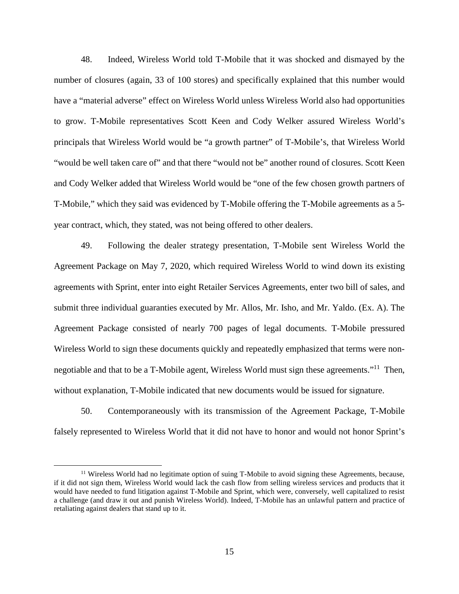48. Indeed, Wireless World told T-Mobile that it was shocked and dismayed by the number of closures (again, 33 of 100 stores) and specifically explained that this number would have a "material adverse" effect on Wireless World unless Wireless World also had opportunities to grow. T-Mobile representatives Scott Keen and Cody Welker assured Wireless World's principals that Wireless World would be "a growth partner" of T-Mobile's, that Wireless World "would be well taken care of" and that there "would not be" another round of closures. Scott Keen and Cody Welker added that Wireless World would be "one of the few chosen growth partners of T-Mobile," which they said was evidenced by T-Mobile offering the T-Mobile agreements as a 5 year contract, which, they stated, was not being offered to other dealers.

49. Following the dealer strategy presentation, T-Mobile sent Wireless World the Agreement Package on May 7, 2020, which required Wireless World to wind down its existing agreements with Sprint, enter into eight Retailer Services Agreements, enter two bill of sales, and submit three individual guaranties executed by Mr. Allos, Mr. Isho, and Mr. Yaldo. (Ex. A). The Agreement Package consisted of nearly 700 pages of legal documents. T-Mobile pressured Wireless World to sign these documents quickly and repeatedly emphasized that terms were nonnegotiable and that to be a T-Mobile agent, Wireless World must sign these agreements."<sup>11</sup> Then, without explanation, T-Mobile indicated that new documents would be issued for signature.

50. Contemporaneously with its transmission of the Agreement Package, T-Mobile falsely represented to Wireless World that it did not have to honor and would not honor Sprint's

<sup>&</sup>lt;sup>11</sup> Wireless World had no legitimate option of suing T-Mobile to avoid signing these Agreements, because, if it did not sign them, Wireless World would lack the cash flow from selling wireless services and products that it would have needed to fund litigation against T-Mobile and Sprint, which were, conversely, well capitalized to resist a challenge (and draw it out and punish Wireless World). Indeed, T-Mobile has an unlawful pattern and practice of retaliating against dealers that stand up to it.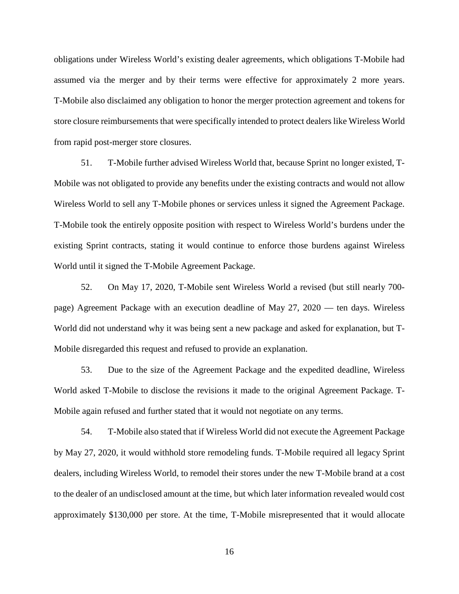obligations under Wireless World's existing dealer agreements, which obligations T-Mobile had assumed via the merger and by their terms were effective for approximately 2 more years. T-Mobile also disclaimed any obligation to honor the merger protection agreement and tokens for store closure reimbursements that were specifically intended to protect dealers like Wireless World from rapid post-merger store closures.

51. T-Mobile further advised Wireless World that, because Sprint no longer existed, T-Mobile was not obligated to provide any benefits under the existing contracts and would not allow Wireless World to sell any T-Mobile phones or services unless it signed the Agreement Package. T-Mobile took the entirely opposite position with respect to Wireless World's burdens under the existing Sprint contracts, stating it would continue to enforce those burdens against Wireless World until it signed the T-Mobile Agreement Package.

52. On May 17, 2020, T-Mobile sent Wireless World a revised (but still nearly 700 page) Agreement Package with an execution deadline of May 27, 2020 — ten days. Wireless World did not understand why it was being sent a new package and asked for explanation, but T-Mobile disregarded this request and refused to provide an explanation.

53. Due to the size of the Agreement Package and the expedited deadline, Wireless World asked T-Mobile to disclose the revisions it made to the original Agreement Package. T-Mobile again refused and further stated that it would not negotiate on any terms.

54. T-Mobile also stated that if Wireless World did not execute the Agreement Package by May 27, 2020, it would withhold store remodeling funds. T-Mobile required all legacy Sprint dealers, including Wireless World, to remodel their stores under the new T-Mobile brand at a cost to the dealer of an undisclosed amount at the time, but which later information revealed would cost approximately \$130,000 per store. At the time, T-Mobile misrepresented that it would allocate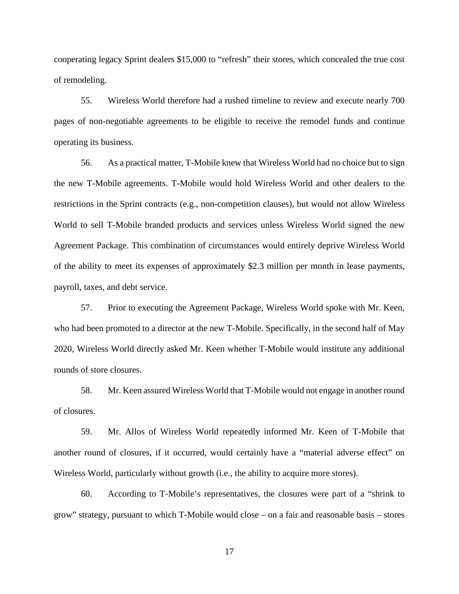cooperating legacy Sprint dealers \$15,000 to "refresh" their stores, which concealed the true cost of remodeling.

55. Wireless World therefore had a rushed timeline to review and execute nearly 700 pages of non-negotiable agreements to be eligible to receive the remodel funds and continue operating its business.

56. As a practical matter, T-Mobile knew that Wireless World had no choice but to sign the new T-Mobile agreements. T-Mobile would hold Wireless World and other dealers to the restrictions in the Sprint contracts (e.g., non-competition clauses), but would not allow Wireless World to sell T-Mobile branded products and services unless Wireless World signed the new Agreement Package. This combination of circumstances would entirely deprive Wireless World of the ability to meet its expenses of approximately \$2.3 million per month in lease payments, payroll, taxes, and debt service.

57. Prior to executing the Agreement Package, Wireless World spoke with Mr. Keen, who had been promoted to a director at the new T-Mobile. Specifically, in the second half of May 2020, Wireless World directly asked Mr. Keen whether T-Mobile would institute any additional rounds of store closures.

58. Mr. Keen assured Wireless World that T-Mobile would not engage in another round of closures.

59. Mr. Allos of Wireless World repeatedly informed Mr. Keen of T-Mobile that another round of closures, if it occurred, would certainly have a "material adverse effect" on Wireless World, particularly without growth (i.e., the ability to acquire more stores).

60. According to T-Mobile's representatives, the closures were part of a "shrink to grow" strategy, pursuant to which T-Mobile would close – on a fair and reasonable basis – stores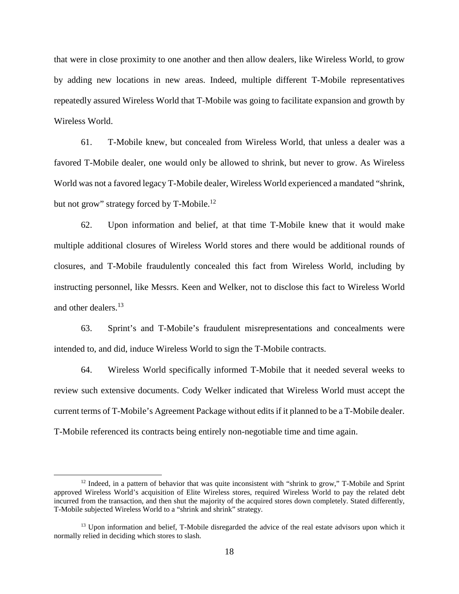that were in close proximity to one another and then allow dealers, like Wireless World, to grow by adding new locations in new areas. Indeed, multiple different T-Mobile representatives repeatedly assured Wireless World that T-Mobile was going to facilitate expansion and growth by Wireless World.

61. T-Mobile knew, but concealed from Wireless World, that unless a dealer was a favored T-Mobile dealer, one would only be allowed to shrink, but never to grow. As Wireless World was not a favored legacy T-Mobile dealer, Wireless World experienced a mandated "shrink, but not grow" strategy forced by T-Mobile.<sup>12</sup>

62. Upon information and belief, at that time T-Mobile knew that it would make multiple additional closures of Wireless World stores and there would be additional rounds of closures, and T-Mobile fraudulently concealed this fact from Wireless World, including by instructing personnel, like Messrs. Keen and Welker, not to disclose this fact to Wireless World and other dealers.<sup>13</sup>

63. Sprint's and T-Mobile's fraudulent misrepresentations and concealments were intended to, and did, induce Wireless World to sign the T-Mobile contracts.

64. Wireless World specifically informed T-Mobile that it needed several weeks to review such extensive documents. Cody Welker indicated that Wireless World must accept the current terms of T-Mobile's Agreement Package without edits if it planned to be a T-Mobile dealer. T-Mobile referenced its contracts being entirely non-negotiable time and time again.

 $12$  Indeed, in a pattern of behavior that was quite inconsistent with "shrink to grow," T-Mobile and Sprint approved Wireless World's acquisition of Elite Wireless stores, required Wireless World to pay the related debt incurred from the transaction, and then shut the majority of the acquired stores down completely. Stated differently, T-Mobile subjected Wireless World to a "shrink and shrink" strategy.

<sup>&</sup>lt;sup>13</sup> Upon information and belief, T-Mobile disregarded the advice of the real estate advisors upon which it normally relied in deciding which stores to slash.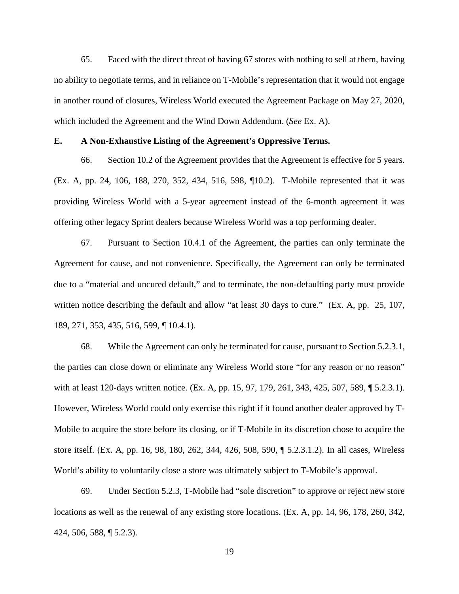65. Faced with the direct threat of having 67 stores with nothing to sell at them, having no ability to negotiate terms, and in reliance on T-Mobile's representation that it would not engage in another round of closures, Wireless World executed the Agreement Package on May 27, 2020, which included the Agreement and the Wind Down Addendum. (*See* Ex. A).

#### **E. A Non-Exhaustive Listing of the Agreement's Oppressive Terms.**

66. Section 10.2 of the Agreement provides that the Agreement is effective for 5 years. (Ex. A, pp. 24, 106, 188, 270, 352, 434, 516, 598, ¶10.2). T-Mobile represented that it was providing Wireless World with a 5-year agreement instead of the 6-month agreement it was offering other legacy Sprint dealers because Wireless World was a top performing dealer.

67. Pursuant to Section 10.4.1 of the Agreement, the parties can only terminate the Agreement for cause, and not convenience. Specifically, the Agreement can only be terminated due to a "material and uncured default," and to terminate, the non-defaulting party must provide written notice describing the default and allow "at least 30 days to cure." (Ex. A, pp. 25, 107, 189, 271, 353, 435, 516, 599, ¶ 10.4.1).

68. While the Agreement can only be terminated for cause, pursuant to Section 5.2.3.1, the parties can close down or eliminate any Wireless World store "for any reason or no reason" with at least 120-days written notice. (Ex. A, pp. 15, 97, 179, 261, 343, 425, 507, 589, ¶ 5.2.3.1). However, Wireless World could only exercise this right if it found another dealer approved by T-Mobile to acquire the store before its closing, or if T-Mobile in its discretion chose to acquire the store itself. (Ex. A, pp. 16, 98, 180, 262, 344, 426, 508, 590, ¶ 5.2.3.1.2). In all cases, Wireless World's ability to voluntarily close a store was ultimately subject to T-Mobile's approval.

69. Under Section 5.2.3, T-Mobile had "sole discretion" to approve or reject new store locations as well as the renewal of any existing store locations. (Ex. A, pp. 14, 96, 178, 260, 342, 424, 506, 588, ¶ 5.2.3).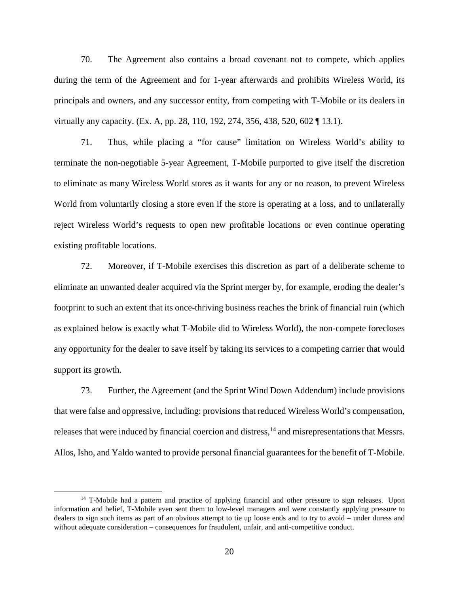70. The Agreement also contains a broad covenant not to compete, which applies during the term of the Agreement and for 1-year afterwards and prohibits Wireless World, its principals and owners, and any successor entity, from competing with T-Mobile or its dealers in virtually any capacity. (Ex. A, pp. 28, 110, 192, 274, 356, 438, 520, 602 ¶ 13.1).

71. Thus, while placing a "for cause" limitation on Wireless World's ability to terminate the non-negotiable 5-year Agreement, T-Mobile purported to give itself the discretion to eliminate as many Wireless World stores as it wants for any or no reason, to prevent Wireless World from voluntarily closing a store even if the store is operating at a loss, and to unilaterally reject Wireless World's requests to open new profitable locations or even continue operating existing profitable locations.

72. Moreover, if T-Mobile exercises this discretion as part of a deliberate scheme to eliminate an unwanted dealer acquired via the Sprint merger by, for example, eroding the dealer's footprint to such an extent that its once-thriving business reaches the brink of financial ruin (which as explained below is exactly what T-Mobile did to Wireless World), the non-compete forecloses any opportunity for the dealer to save itself by taking its services to a competing carrier that would support its growth.

73. Further, the Agreement (and the Sprint Wind Down Addendum) include provisions that were false and oppressive, including: provisions that reduced Wireless World's compensation, releases that were induced by financial coercion and distress,<sup>14</sup> and misrepresentations that Messrs. Allos, Isho, and Yaldo wanted to provide personal financial guarantees for the benefit of T-Mobile.

<sup>&</sup>lt;sup>14</sup> T-Mobile had a pattern and practice of applying financial and other pressure to sign releases. Upon information and belief, T-Mobile even sent them to low-level managers and were constantly applying pressure to dealers to sign such items as part of an obvious attempt to tie up loose ends and to try to avoid – under duress and without adequate consideration – consequences for fraudulent, unfair, and anti-competitive conduct.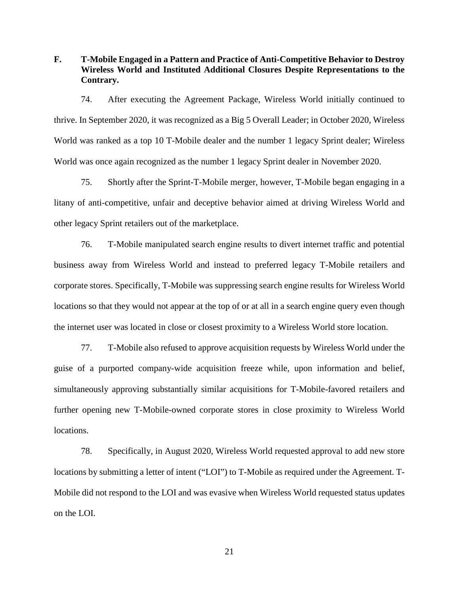**F. T-Mobile Engaged in a Pattern and Practice of Anti-Competitive Behavior to Destroy Wireless World and Instituted Additional Closures Despite Representations to the Contrary.** 

74. After executing the Agreement Package, Wireless World initially continued to thrive. In September 2020, it was recognized as a Big 5 Overall Leader; in October 2020, Wireless World was ranked as a top 10 T-Mobile dealer and the number 1 legacy Sprint dealer; Wireless World was once again recognized as the number 1 legacy Sprint dealer in November 2020.

75. Shortly after the Sprint-T-Mobile merger, however, T-Mobile began engaging in a litany of anti-competitive, unfair and deceptive behavior aimed at driving Wireless World and other legacy Sprint retailers out of the marketplace.

76. T-Mobile manipulated search engine results to divert internet traffic and potential business away from Wireless World and instead to preferred legacy T-Mobile retailers and corporate stores. Specifically, T-Mobile was suppressing search engine results for Wireless World locations so that they would not appear at the top of or at all in a search engine query even though the internet user was located in close or closest proximity to a Wireless World store location.

77. T-Mobile also refused to approve acquisition requests by Wireless World under the guise of a purported company-wide acquisition freeze while, upon information and belief, simultaneously approving substantially similar acquisitions for T-Mobile-favored retailers and further opening new T-Mobile-owned corporate stores in close proximity to Wireless World locations.

78. Specifically, in August 2020, Wireless World requested approval to add new store locations by submitting a letter of intent ("LOI") to T-Mobile as required under the Agreement. T-Mobile did not respond to the LOI and was evasive when Wireless World requested status updates on the LOI.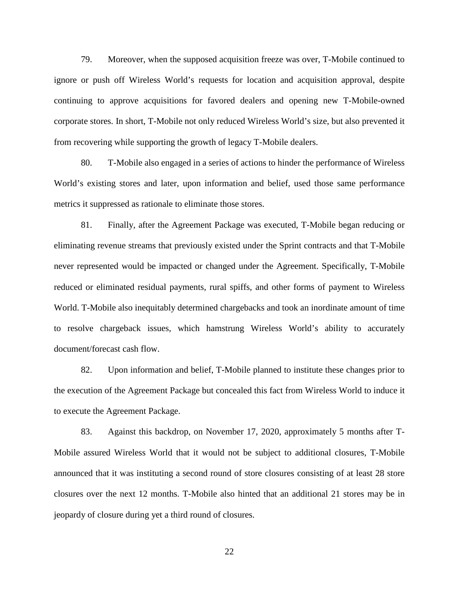79. Moreover, when the supposed acquisition freeze was over, T-Mobile continued to ignore or push off Wireless World's requests for location and acquisition approval, despite continuing to approve acquisitions for favored dealers and opening new T-Mobile-owned corporate stores. In short, T-Mobile not only reduced Wireless World's size, but also prevented it from recovering while supporting the growth of legacy T-Mobile dealers.

80. T-Mobile also engaged in a series of actions to hinder the performance of Wireless World's existing stores and later, upon information and belief, used those same performance metrics it suppressed as rationale to eliminate those stores.

81. Finally, after the Agreement Package was executed, T-Mobile began reducing or eliminating revenue streams that previously existed under the Sprint contracts and that T-Mobile never represented would be impacted or changed under the Agreement. Specifically, T-Mobile reduced or eliminated residual payments, rural spiffs, and other forms of payment to Wireless World. T-Mobile also inequitably determined chargebacks and took an inordinate amount of time to resolve chargeback issues, which hamstrung Wireless World's ability to accurately document/forecast cash flow.

82. Upon information and belief, T-Mobile planned to institute these changes prior to the execution of the Agreement Package but concealed this fact from Wireless World to induce it to execute the Agreement Package.

83. Against this backdrop, on November 17, 2020, approximately 5 months after T-Mobile assured Wireless World that it would not be subject to additional closures, T-Mobile announced that it was instituting a second round of store closures consisting of at least 28 store closures over the next 12 months. T-Mobile also hinted that an additional 21 stores may be in jeopardy of closure during yet a third round of closures.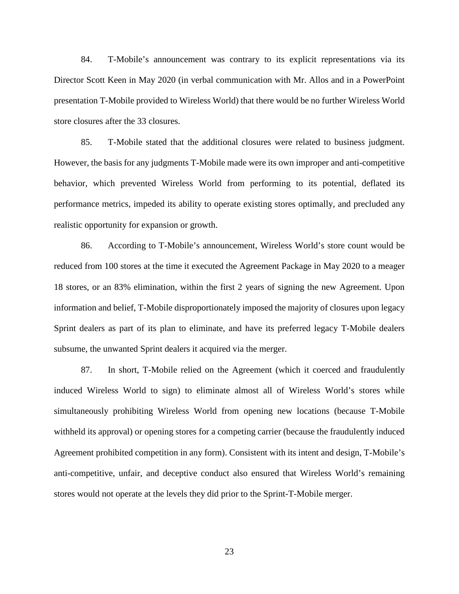84. T-Mobile's announcement was contrary to its explicit representations via its Director Scott Keen in May 2020 (in verbal communication with Mr. Allos and in a PowerPoint presentation T-Mobile provided to Wireless World) that there would be no further Wireless World store closures after the 33 closures.

85. T-Mobile stated that the additional closures were related to business judgment. However, the basis for any judgments T-Mobile made were its own improper and anti-competitive behavior, which prevented Wireless World from performing to its potential, deflated its performance metrics, impeded its ability to operate existing stores optimally, and precluded any realistic opportunity for expansion or growth.

86. According to T-Mobile's announcement, Wireless World's store count would be reduced from 100 stores at the time it executed the Agreement Package in May 2020 to a meager 18 stores, or an 83% elimination, within the first 2 years of signing the new Agreement. Upon information and belief, T-Mobile disproportionately imposed the majority of closures upon legacy Sprint dealers as part of its plan to eliminate, and have its preferred legacy T-Mobile dealers subsume, the unwanted Sprint dealers it acquired via the merger.

87. In short, T-Mobile relied on the Agreement (which it coerced and fraudulently induced Wireless World to sign) to eliminate almost all of Wireless World's stores while simultaneously prohibiting Wireless World from opening new locations (because T-Mobile withheld its approval) or opening stores for a competing carrier (because the fraudulently induced Agreement prohibited competition in any form). Consistent with its intent and design, T-Mobile's anti-competitive, unfair, and deceptive conduct also ensured that Wireless World's remaining stores would not operate at the levels they did prior to the Sprint-T-Mobile merger.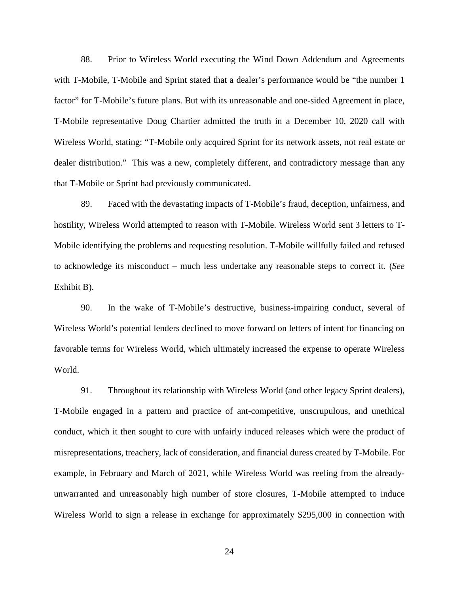88. Prior to Wireless World executing the Wind Down Addendum and Agreements with T-Mobile, T-Mobile and Sprint stated that a dealer's performance would be "the number 1 factor" for T-Mobile's future plans. But with its unreasonable and one-sided Agreement in place, T-Mobile representative Doug Chartier admitted the truth in a December 10, 2020 call with Wireless World, stating: "T-Mobile only acquired Sprint for its network assets, not real estate or dealer distribution." This was a new, completely different, and contradictory message than any that T-Mobile or Sprint had previously communicated.

89. Faced with the devastating impacts of T-Mobile's fraud, deception, unfairness, and hostility, Wireless World attempted to reason with T-Mobile. Wireless World sent 3 letters to T-Mobile identifying the problems and requesting resolution. T-Mobile willfully failed and refused to acknowledge its misconduct – much less undertake any reasonable steps to correct it. (*See* Exhibit B).

90. In the wake of T-Mobile's destructive, business-impairing conduct, several of Wireless World's potential lenders declined to move forward on letters of intent for financing on favorable terms for Wireless World, which ultimately increased the expense to operate Wireless World.

91. Throughout its relationship with Wireless World (and other legacy Sprint dealers), T-Mobile engaged in a pattern and practice of ant-competitive, unscrupulous, and unethical conduct, which it then sought to cure with unfairly induced releases which were the product of misrepresentations, treachery, lack of consideration, and financial duress created by T-Mobile. For example, in February and March of 2021, while Wireless World was reeling from the alreadyunwarranted and unreasonably high number of store closures, T-Mobile attempted to induce Wireless World to sign a release in exchange for approximately \$295,000 in connection with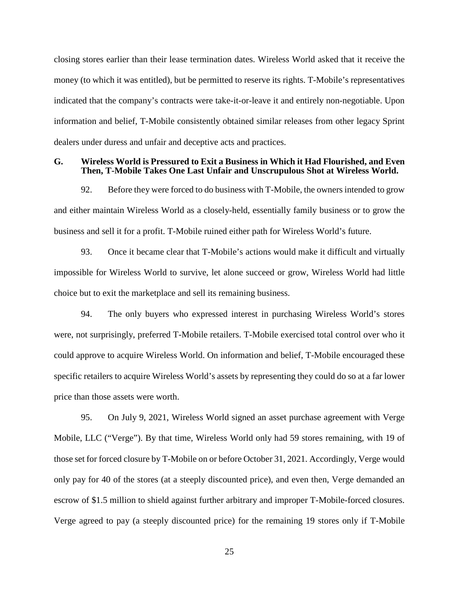closing stores earlier than their lease termination dates. Wireless World asked that it receive the money (to which it was entitled), but be permitted to reserve its rights. T-Mobile's representatives indicated that the company's contracts were take-it-or-leave it and entirely non-negotiable. Upon information and belief, T-Mobile consistently obtained similar releases from other legacy Sprint dealers under duress and unfair and deceptive acts and practices.

### **G. Wireless World is Pressured to Exit a Business in Which it Had Flourished, and Even Then, T-Mobile Takes One Last Unfair and Unscrupulous Shot at Wireless World.**

92. Before they were forced to do business with T-Mobile, the owners intended to grow and either maintain Wireless World as a closely-held, essentially family business or to grow the business and sell it for a profit. T-Mobile ruined either path for Wireless World's future.

93. Once it became clear that T-Mobile's actions would make it difficult and virtually impossible for Wireless World to survive, let alone succeed or grow, Wireless World had little choice but to exit the marketplace and sell its remaining business.

94. The only buyers who expressed interest in purchasing Wireless World's stores were, not surprisingly, preferred T-Mobile retailers. T-Mobile exercised total control over who it could approve to acquire Wireless World. On information and belief, T-Mobile encouraged these specific retailers to acquire Wireless World's assets by representing they could do so at a far lower price than those assets were worth.

95. On July 9, 2021, Wireless World signed an asset purchase agreement with Verge Mobile, LLC ("Verge"). By that time, Wireless World only had 59 stores remaining, with 19 of those set for forced closure by T-Mobile on or before October 31, 2021. Accordingly, Verge would only pay for 40 of the stores (at a steeply discounted price), and even then, Verge demanded an escrow of \$1.5 million to shield against further arbitrary and improper T-Mobile-forced closures. Verge agreed to pay (a steeply discounted price) for the remaining 19 stores only if T-Mobile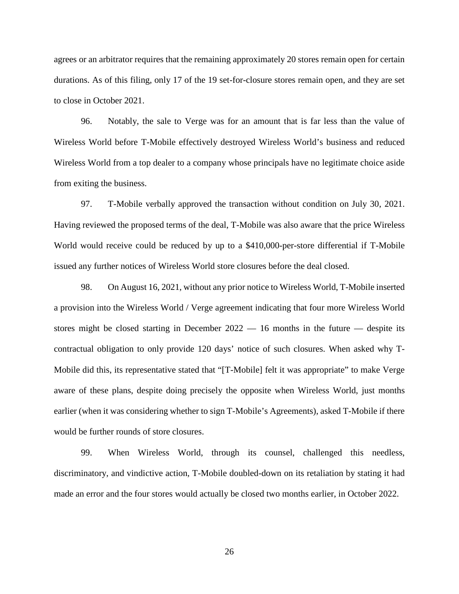agrees or an arbitrator requires that the remaining approximately 20 stores remain open for certain durations. As of this filing, only 17 of the 19 set-for-closure stores remain open, and they are set to close in October 2021.

96. Notably, the sale to Verge was for an amount that is far less than the value of Wireless World before T-Mobile effectively destroyed Wireless World's business and reduced Wireless World from a top dealer to a company whose principals have no legitimate choice aside from exiting the business.

97. T-Mobile verbally approved the transaction without condition on July 30, 2021. Having reviewed the proposed terms of the deal, T-Mobile was also aware that the price Wireless World would receive could be reduced by up to a \$410,000-per-store differential if T-Mobile issued any further notices of Wireless World store closures before the deal closed.

98. On August 16, 2021, without any prior notice to Wireless World, T-Mobile inserted a provision into the Wireless World / Verge agreement indicating that four more Wireless World stores might be closed starting in December  $2022 - 16$  months in the future  $-$  despite its contractual obligation to only provide 120 days' notice of such closures. When asked why T-Mobile did this, its representative stated that "[T-Mobile] felt it was appropriate" to make Verge aware of these plans, despite doing precisely the opposite when Wireless World, just months earlier (when it was considering whether to sign T-Mobile's Agreements), asked T-Mobile if there would be further rounds of store closures.

99. When Wireless World, through its counsel, challenged this needless, discriminatory, and vindictive action, T-Mobile doubled-down on its retaliation by stating it had made an error and the four stores would actually be closed two months earlier, in October 2022.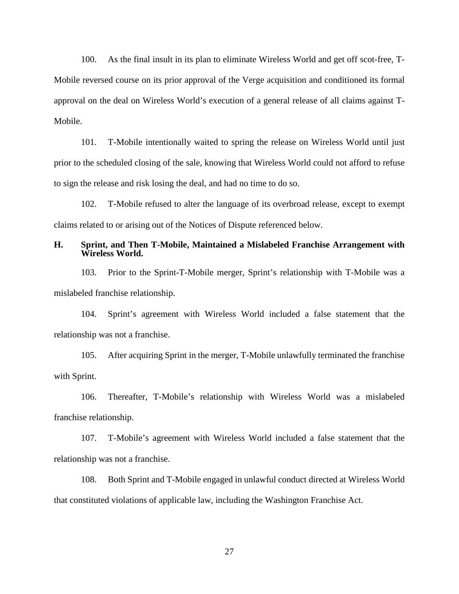100. As the final insult in its plan to eliminate Wireless World and get off scot-free, T-Mobile reversed course on its prior approval of the Verge acquisition and conditioned its formal approval on the deal on Wireless World's execution of a general release of all claims against T-Mobile.

101. T-Mobile intentionally waited to spring the release on Wireless World until just prior to the scheduled closing of the sale, knowing that Wireless World could not afford to refuse to sign the release and risk losing the deal, and had no time to do so.

102. T-Mobile refused to alter the language of its overbroad release, except to exempt claims related to or arising out of the Notices of Dispute referenced below.

## **H. Sprint, and Then T-Mobile, Maintained a Mislabeled Franchise Arrangement with Wireless World.**

103. Prior to the Sprint-T-Mobile merger, Sprint's relationship with T-Mobile was a mislabeled franchise relationship.

104. Sprint's agreement with Wireless World included a false statement that the relationship was not a franchise.

105. After acquiring Sprint in the merger, T-Mobile unlawfully terminated the franchise with Sprint.

106. Thereafter, T-Mobile's relationship with Wireless World was a mislabeled franchise relationship.

107. T-Mobile's agreement with Wireless World included a false statement that the relationship was not a franchise.

108. Both Sprint and T-Mobile engaged in unlawful conduct directed at Wireless World that constituted violations of applicable law, including the Washington Franchise Act.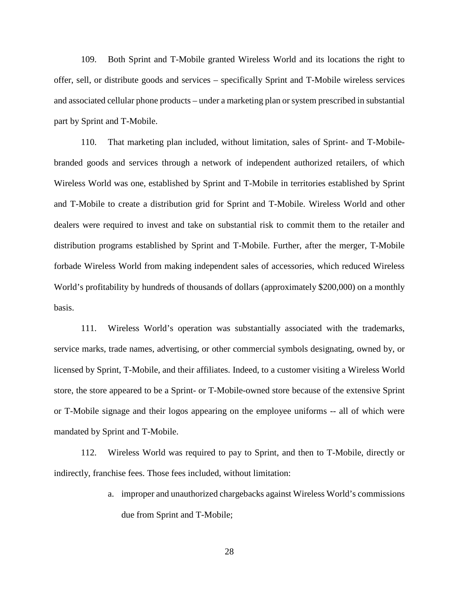109. Both Sprint and T-Mobile granted Wireless World and its locations the right to offer, sell, or distribute goods and services – specifically Sprint and T-Mobile wireless services and associated cellular phone products – under a marketing plan or system prescribed in substantial part by Sprint and T-Mobile.

110. That marketing plan included, without limitation, sales of Sprint- and T-Mobilebranded goods and services through a network of independent authorized retailers, of which Wireless World was one, established by Sprint and T-Mobile in territories established by Sprint and T-Mobile to create a distribution grid for Sprint and T-Mobile. Wireless World and other dealers were required to invest and take on substantial risk to commit them to the retailer and distribution programs established by Sprint and T-Mobile. Further, after the merger, T-Mobile forbade Wireless World from making independent sales of accessories, which reduced Wireless World's profitability by hundreds of thousands of dollars (approximately \$200,000) on a monthly basis.

111. Wireless World's operation was substantially associated with the trademarks, service marks, trade names, advertising, or other commercial symbols designating, owned by, or licensed by Sprint, T-Mobile, and their affiliates. Indeed, to a customer visiting a Wireless World store, the store appeared to be a Sprint- or T-Mobile-owned store because of the extensive Sprint or T-Mobile signage and their logos appearing on the employee uniforms -- all of which were mandated by Sprint and T-Mobile.

112. Wireless World was required to pay to Sprint, and then to T-Mobile, directly or indirectly, franchise fees. Those fees included, without limitation:

> a. improper and unauthorized chargebacks against Wireless World's commissions due from Sprint and T-Mobile;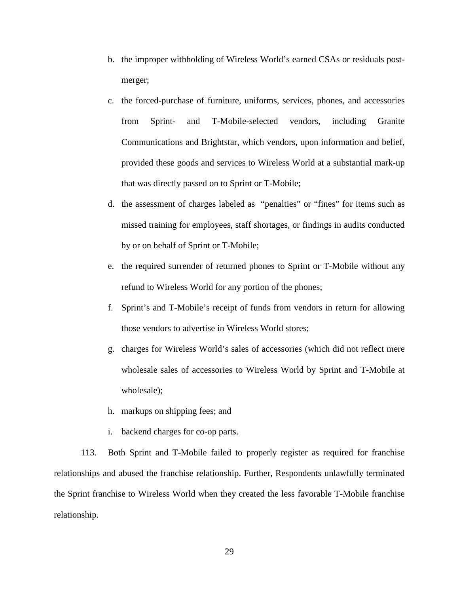- b. the improper withholding of Wireless World's earned CSAs or residuals postmerger;
- c. the forced-purchase of furniture, uniforms, services, phones, and accessories from Sprint- and T-Mobile-selected vendors, including Granite Communications and Brightstar, which vendors, upon information and belief, provided these goods and services to Wireless World at a substantial mark-up that was directly passed on to Sprint or T-Mobile;
- d. the assessment of charges labeled as "penalties" or "fines" for items such as missed training for employees, staff shortages, or findings in audits conducted by or on behalf of Sprint or T-Mobile;
- e. the required surrender of returned phones to Sprint or T-Mobile without any refund to Wireless World for any portion of the phones;
- f. Sprint's and T-Mobile's receipt of funds from vendors in return for allowing those vendors to advertise in Wireless World stores;
- g. charges for Wireless World's sales of accessories (which did not reflect mere wholesale sales of accessories to Wireless World by Sprint and T-Mobile at wholesale);
- h. markups on shipping fees; and
- i. backend charges for co-op parts.

113. Both Sprint and T-Mobile failed to properly register as required for franchise relationships and abused the franchise relationship. Further, Respondents unlawfully terminated the Sprint franchise to Wireless World when they created the less favorable T-Mobile franchise relationship.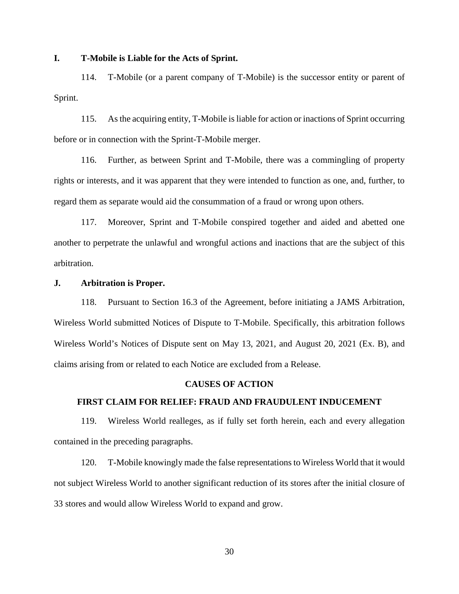## **I. T-Mobile is Liable for the Acts of Sprint.**

114. T-Mobile (or a parent company of T-Mobile) is the successor entity or parent of Sprint.

115. As the acquiring entity, T-Mobile is liable for action or inactions of Sprint occurring before or in connection with the Sprint-T-Mobile merger.

116. Further, as between Sprint and T-Mobile, there was a commingling of property rights or interests, and it was apparent that they were intended to function as one, and, further, to regard them as separate would aid the consummation of a fraud or wrong upon others.

117. Moreover, Sprint and T-Mobile conspired together and aided and abetted one another to perpetrate the unlawful and wrongful actions and inactions that are the subject of this arbitration.

#### **J. Arbitration is Proper.**

118. Pursuant to Section 16.3 of the Agreement, before initiating a JAMS Arbitration, Wireless World submitted Notices of Dispute to T-Mobile. Specifically, this arbitration follows Wireless World's Notices of Dispute sent on May 13, 2021, and August 20, 2021 (Ex. B), and claims arising from or related to each Notice are excluded from a Release.

#### **CAUSES OF ACTION**

# **FIRST CLAIM FOR RELIEF: FRAUD AND FRAUDULENT INDUCEMENT**

119. Wireless World realleges, as if fully set forth herein, each and every allegation contained in the preceding paragraphs.

120. T-Mobile knowingly made the false representations to Wireless World that it would not subject Wireless World to another significant reduction of its stores after the initial closure of 33 stores and would allow Wireless World to expand and grow.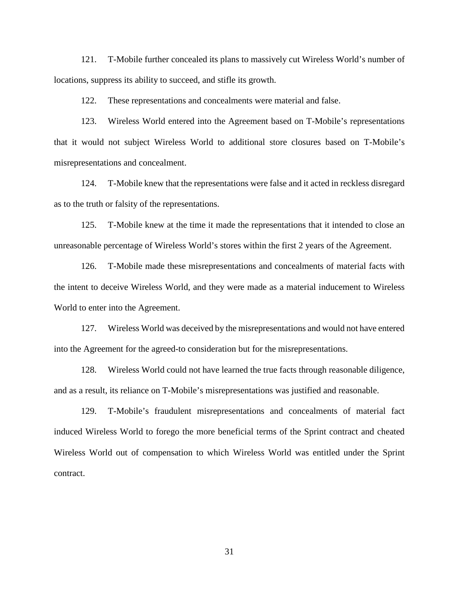121. T-Mobile further concealed its plans to massively cut Wireless World's number of locations, suppress its ability to succeed, and stifle its growth.

122. These representations and concealments were material and false.

123. Wireless World entered into the Agreement based on T-Mobile's representations that it would not subject Wireless World to additional store closures based on T-Mobile's misrepresentations and concealment.

124. T-Mobile knew that the representations were false and it acted in reckless disregard as to the truth or falsity of the representations.

125. T-Mobile knew at the time it made the representations that it intended to close an unreasonable percentage of Wireless World's stores within the first 2 years of the Agreement.

126. T-Mobile made these misrepresentations and concealments of material facts with the intent to deceive Wireless World, and they were made as a material inducement to Wireless World to enter into the Agreement.

127. Wireless World was deceived by the misrepresentations and would not have entered into the Agreement for the agreed-to consideration but for the misrepresentations.

128. Wireless World could not have learned the true facts through reasonable diligence, and as a result, its reliance on T-Mobile's misrepresentations was justified and reasonable.

129. T-Mobile's fraudulent misrepresentations and concealments of material fact induced Wireless World to forego the more beneficial terms of the Sprint contract and cheated Wireless World out of compensation to which Wireless World was entitled under the Sprint contract.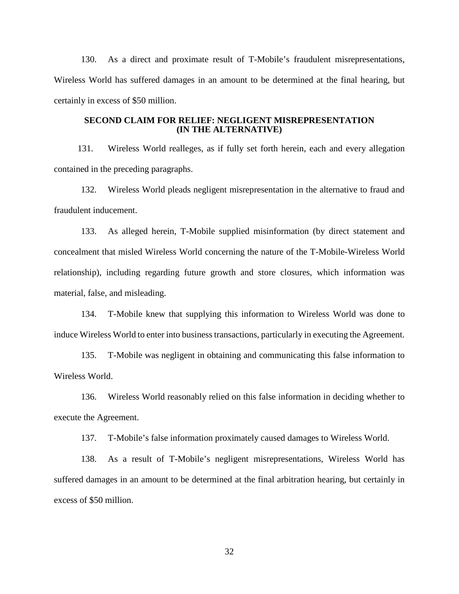130. As a direct and proximate result of T-Mobile's fraudulent misrepresentations, Wireless World has suffered damages in an amount to be determined at the final hearing, but certainly in excess of \$50 million.

## **SECOND CLAIM FOR RELIEF: NEGLIGENT MISREPRESENTATION (IN THE ALTERNATIVE)**

131. Wireless World realleges, as if fully set forth herein, each and every allegation contained in the preceding paragraphs.

132. Wireless World pleads negligent misrepresentation in the alternative to fraud and fraudulent inducement.

133. As alleged herein, T-Mobile supplied misinformation (by direct statement and concealment that misled Wireless World concerning the nature of the T-Mobile-Wireless World relationship), including regarding future growth and store closures, which information was material, false, and misleading.

134. T-Mobile knew that supplying this information to Wireless World was done to induce Wireless World to enter into business transactions, particularly in executing the Agreement.

135. T-Mobile was negligent in obtaining and communicating this false information to Wireless World.

136. Wireless World reasonably relied on this false information in deciding whether to execute the Agreement.

137. T-Mobile's false information proximately caused damages to Wireless World.

138. As a result of T-Mobile's negligent misrepresentations, Wireless World has suffered damages in an amount to be determined at the final arbitration hearing, but certainly in excess of \$50 million.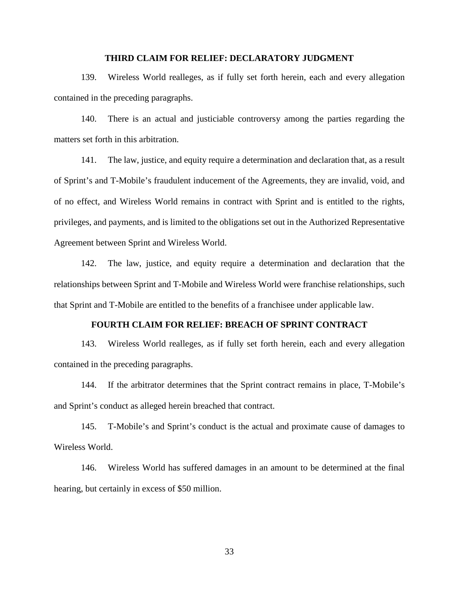#### **THIRD CLAIM FOR RELIEF: DECLARATORY JUDGMENT**

139. Wireless World realleges, as if fully set forth herein, each and every allegation contained in the preceding paragraphs.

140. There is an actual and justiciable controversy among the parties regarding the matters set forth in this arbitration.

141. The law, justice, and equity require a determination and declaration that, as a result of Sprint's and T-Mobile's fraudulent inducement of the Agreements, they are invalid, void, and of no effect, and Wireless World remains in contract with Sprint and is entitled to the rights, privileges, and payments, and is limited to the obligations set out in the Authorized Representative Agreement between Sprint and Wireless World.

142. The law, justice, and equity require a determination and declaration that the relationships between Sprint and T-Mobile and Wireless World were franchise relationships, such that Sprint and T-Mobile are entitled to the benefits of a franchisee under applicable law.

# **FOURTH CLAIM FOR RELIEF: BREACH OF SPRINT CONTRACT**

143. Wireless World realleges, as if fully set forth herein, each and every allegation contained in the preceding paragraphs.

144. If the arbitrator determines that the Sprint contract remains in place, T-Mobile's and Sprint's conduct as alleged herein breached that contract.

145. T-Mobile's and Sprint's conduct is the actual and proximate cause of damages to Wireless World.

146. Wireless World has suffered damages in an amount to be determined at the final hearing, but certainly in excess of \$50 million.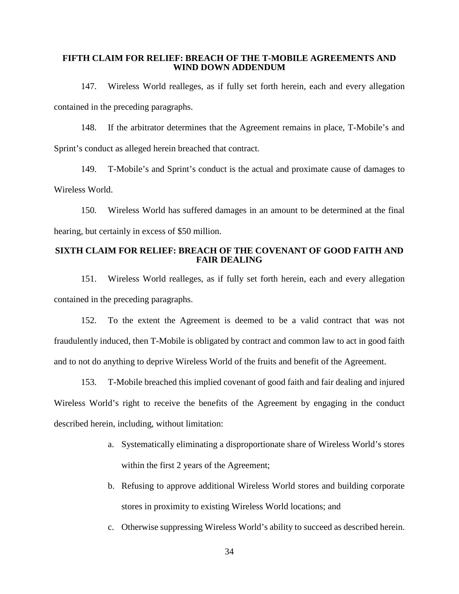## **FIFTH CLAIM FOR RELIEF: BREACH OF THE T-MOBILE AGREEMENTS AND WIND DOWN ADDENDUM**

147. Wireless World realleges, as if fully set forth herein, each and every allegation contained in the preceding paragraphs.

148. If the arbitrator determines that the Agreement remains in place, T-Mobile's and Sprint's conduct as alleged herein breached that contract.

149. T-Mobile's and Sprint's conduct is the actual and proximate cause of damages to Wireless World.

150. Wireless World has suffered damages in an amount to be determined at the final hearing, but certainly in excess of \$50 million.

## **SIXTH CLAIM FOR RELIEF: BREACH OF THE COVENANT OF GOOD FAITH AND FAIR DEALING**

151. Wireless World realleges, as if fully set forth herein, each and every allegation contained in the preceding paragraphs.

152. To the extent the Agreement is deemed to be a valid contract that was not fraudulently induced, then T-Mobile is obligated by contract and common law to act in good faith and to not do anything to deprive Wireless World of the fruits and benefit of the Agreement.

153. T-Mobile breached this implied covenant of good faith and fair dealing and injured Wireless World's right to receive the benefits of the Agreement by engaging in the conduct described herein, including, without limitation:

- a. Systematically eliminating a disproportionate share of Wireless World's stores within the first 2 years of the Agreement;
- b. Refusing to approve additional Wireless World stores and building corporate stores in proximity to existing Wireless World locations; and
- c. Otherwise suppressing Wireless World's ability to succeed as described herein.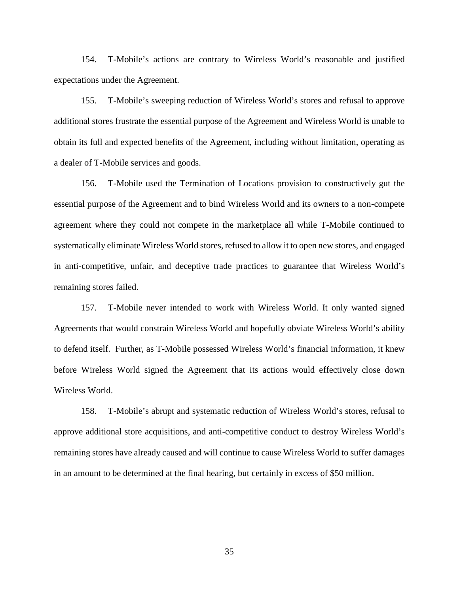154. T-Mobile's actions are contrary to Wireless World's reasonable and justified expectations under the Agreement.

155. T-Mobile's sweeping reduction of Wireless World's stores and refusal to approve additional stores frustrate the essential purpose of the Agreement and Wireless World is unable to obtain its full and expected benefits of the Agreement, including without limitation, operating as a dealer of T-Mobile services and goods.

156. T-Mobile used the Termination of Locations provision to constructively gut the essential purpose of the Agreement and to bind Wireless World and its owners to a non-compete agreement where they could not compete in the marketplace all while T-Mobile continued to systematically eliminate Wireless World stores, refused to allow it to open new stores, and engaged in anti-competitive, unfair, and deceptive trade practices to guarantee that Wireless World's remaining stores failed.

157. T-Mobile never intended to work with Wireless World. It only wanted signed Agreements that would constrain Wireless World and hopefully obviate Wireless World's ability to defend itself. Further, as T-Mobile possessed Wireless World's financial information, it knew before Wireless World signed the Agreement that its actions would effectively close down Wireless World.

158. T-Mobile's abrupt and systematic reduction of Wireless World's stores, refusal to approve additional store acquisitions, and anti-competitive conduct to destroy Wireless World's remaining stores have already caused and will continue to cause Wireless World to suffer damages in an amount to be determined at the final hearing, but certainly in excess of \$50 million.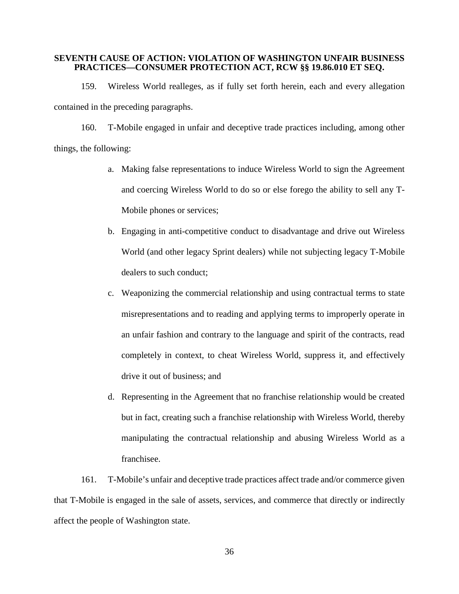## **SEVENTH CAUSE OF ACTION: VIOLATION OF WASHINGTON UNFAIR BUSINESS PRACTICES—CONSUMER PROTECTION ACT, RCW §§ 19.86.010 ET SEQ.**

159. Wireless World realleges, as if fully set forth herein, each and every allegation contained in the preceding paragraphs.

160. T-Mobile engaged in unfair and deceptive trade practices including, among other things, the following:

- a. Making false representations to induce Wireless World to sign the Agreement and coercing Wireless World to do so or else forego the ability to sell any T-Mobile phones or services;
- b. Engaging in anti-competitive conduct to disadvantage and drive out Wireless World (and other legacy Sprint dealers) while not subjecting legacy T-Mobile dealers to such conduct;
- c. Weaponizing the commercial relationship and using contractual terms to state misrepresentations and to reading and applying terms to improperly operate in an unfair fashion and contrary to the language and spirit of the contracts, read completely in context, to cheat Wireless World, suppress it, and effectively drive it out of business; and
- d. Representing in the Agreement that no franchise relationship would be created but in fact, creating such a franchise relationship with Wireless World, thereby manipulating the contractual relationship and abusing Wireless World as a franchisee.

161. T-Mobile's unfair and deceptive trade practices affect trade and/or commerce given that T-Mobile is engaged in the sale of assets, services, and commerce that directly or indirectly affect the people of Washington state.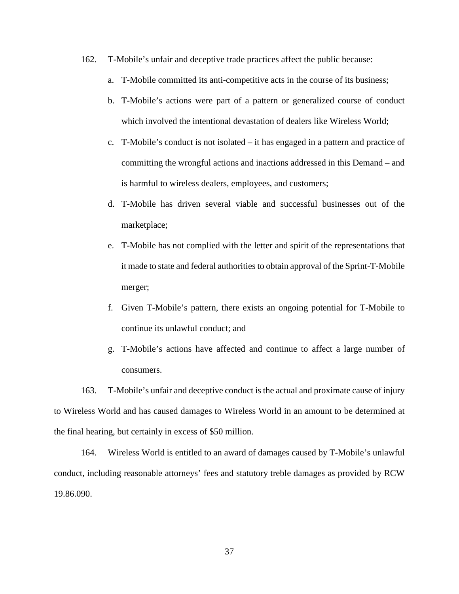- 162. T-Mobile's unfair and deceptive trade practices affect the public because:
	- a. T-Mobile committed its anti-competitive acts in the course of its business;
	- b. T-Mobile's actions were part of a pattern or generalized course of conduct which involved the intentional devastation of dealers like Wireless World;
	- c. T-Mobile's conduct is not isolated it has engaged in a pattern and practice of committing the wrongful actions and inactions addressed in this Demand – and is harmful to wireless dealers, employees, and customers;
	- d. T-Mobile has driven several viable and successful businesses out of the marketplace;
	- e. T-Mobile has not complied with the letter and spirit of the representations that it made to state and federal authorities to obtain approval of the Sprint-T-Mobile merger;
	- f. Given T-Mobile's pattern, there exists an ongoing potential for T-Mobile to continue its unlawful conduct; and
	- g. T-Mobile's actions have affected and continue to affect a large number of consumers.

163. T-Mobile's unfair and deceptive conduct is the actual and proximate cause of injury to Wireless World and has caused damages to Wireless World in an amount to be determined at the final hearing, but certainly in excess of \$50 million.

164. Wireless World is entitled to an award of damages caused by T-Mobile's unlawful conduct, including reasonable attorneys' fees and statutory treble damages as provided by RCW 19.86.090.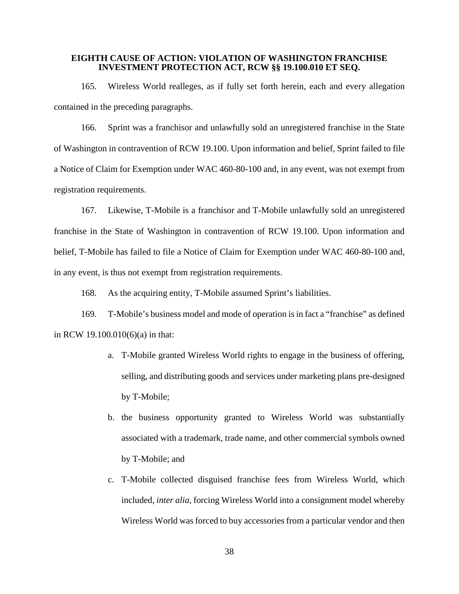### **EIGHTH CAUSE OF ACTION: VIOLATION OF WASHINGTON FRANCHISE INVESTMENT PROTECTION ACT, RCW §§ 19.100.010 ET SEQ.**

165. Wireless World realleges, as if fully set forth herein, each and every allegation contained in the preceding paragraphs.

166. Sprint was a franchisor and unlawfully sold an unregistered franchise in the State of Washington in contravention of RCW 19.100. Upon information and belief, Sprint failed to file a Notice of Claim for Exemption under WAC 460-80-100 and, in any event, was not exempt from registration requirements.

167. Likewise, T-Mobile is a franchisor and T-Mobile unlawfully sold an unregistered franchise in the State of Washington in contravention of RCW 19.100. Upon information and belief, T-Mobile has failed to file a Notice of Claim for Exemption under WAC 460-80-100 and, in any event, is thus not exempt from registration requirements.

168. As the acquiring entity, T-Mobile assumed Sprint's liabilities.

169. T-Mobile's business model and mode of operation is in fact a "franchise" as defined in RCW 19.100.010(6)(a) in that:

- a. T-Mobile granted Wireless World rights to engage in the business of offering, selling, and distributing goods and services under marketing plans pre-designed by T-Mobile;
- b. the business opportunity granted to Wireless World was substantially associated with a trademark, trade name, and other commercial symbols owned by T-Mobile; and
- c. T-Mobile collected disguised franchise fees from Wireless World, which included, *inter alia*, forcing Wireless World into a consignment model whereby Wireless World was forced to buy accessories from a particular vendor and then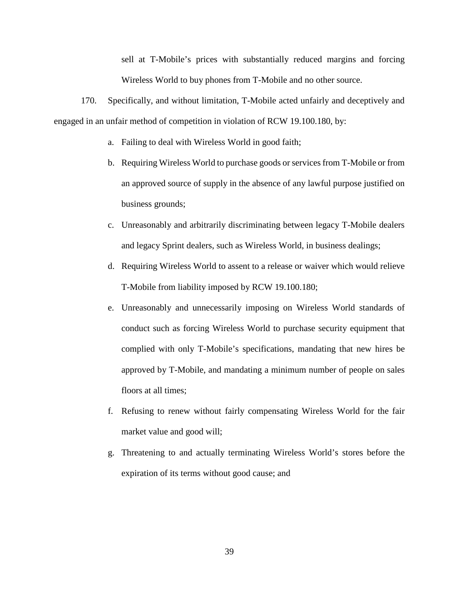sell at T-Mobile's prices with substantially reduced margins and forcing Wireless World to buy phones from T-Mobile and no other source.

170. Specifically, and without limitation, T-Mobile acted unfairly and deceptively and engaged in an unfair method of competition in violation of RCW 19.100.180, by:

- a. Failing to deal with Wireless World in good faith;
- b. Requiring Wireless World to purchase goods or services from T-Mobile or from an approved source of supply in the absence of any lawful purpose justified on business grounds;
- c. Unreasonably and arbitrarily discriminating between legacy T-Mobile dealers and legacy Sprint dealers, such as Wireless World, in business dealings;
- d. Requiring Wireless World to assent to a release or waiver which would relieve T-Mobile from liability imposed by RCW 19.100.180;
- e. Unreasonably and unnecessarily imposing on Wireless World standards of conduct such as forcing Wireless World to purchase security equipment that complied with only T-Mobile's specifications, mandating that new hires be approved by T-Mobile, and mandating a minimum number of people on sales floors at all times;
- f. Refusing to renew without fairly compensating Wireless World for the fair market value and good will;
- g. Threatening to and actually terminating Wireless World's stores before the expiration of its terms without good cause; and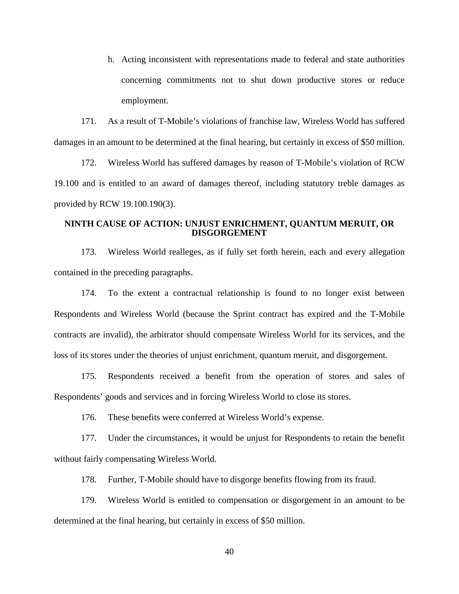h. Acting inconsistent with representations made to federal and state authorities concerning commitments not to shut down productive stores or reduce employment.

171. As a result of T-Mobile's violations of franchise law, Wireless World has suffered damages in an amount to be determined at the final hearing, but certainly in excess of \$50 million.

172. Wireless World has suffered damages by reason of T-Mobile's violation of RCW 19.100 and is entitled to an award of damages thereof, including statutory treble damages as provided by RCW 19.100.190(3).

## **NINTH CAUSE OF ACTION: UNJUST ENRICHMENT, QUANTUM MERUIT, OR DISGORGEMENT**

173. Wireless World realleges, as if fully set forth herein, each and every allegation contained in the preceding paragraphs.

174. To the extent a contractual relationship is found to no longer exist between Respondents and Wireless World (because the Sprint contract has expired and the T-Mobile contracts are invalid), the arbitrator should compensate Wireless World for its services, and the loss of its stores under the theories of unjust enrichment, quantum meruit, and disgorgement.

175. Respondents received a benefit from the operation of stores and sales of Respondents' goods and services and in forcing Wireless World to close its stores.

176. These benefits were conferred at Wireless World's expense.

177. Under the circumstances, it would be unjust for Respondents to retain the benefit without fairly compensating Wireless World.

178. Further, T-Mobile should have to disgorge benefits flowing from its fraud.

179. Wireless World is entitled to compensation or disgorgement in an amount to be determined at the final hearing, but certainly in excess of \$50 million.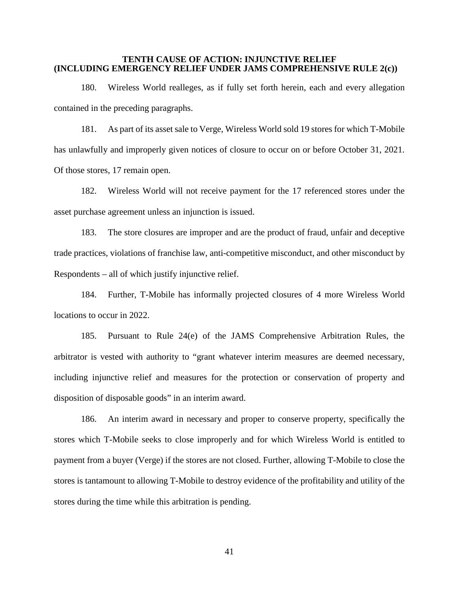### **TENTH CAUSE OF ACTION: INJUNCTIVE RELIEF (INCLUDING EMERGENCY RELIEF UNDER JAMS COMPREHENSIVE RULE 2(c))**

180. Wireless World realleges, as if fully set forth herein, each and every allegation contained in the preceding paragraphs.

181. As part of its asset sale to Verge, Wireless World sold 19 stores for which T-Mobile has unlawfully and improperly given notices of closure to occur on or before October 31, 2021. Of those stores, 17 remain open.

182. Wireless World will not receive payment for the 17 referenced stores under the asset purchase agreement unless an injunction is issued.

183. The store closures are improper and are the product of fraud, unfair and deceptive trade practices, violations of franchise law, anti-competitive misconduct, and other misconduct by Respondents – all of which justify injunctive relief.

184. Further, T-Mobile has informally projected closures of 4 more Wireless World locations to occur in 2022.

185. Pursuant to Rule 24(e) of the JAMS Comprehensive Arbitration Rules, the arbitrator is vested with authority to "grant whatever interim measures are deemed necessary, including injunctive relief and measures for the protection or conservation of property and disposition of disposable goods" in an interim award.

186. An interim award in necessary and proper to conserve property, specifically the stores which T-Mobile seeks to close improperly and for which Wireless World is entitled to payment from a buyer (Verge) if the stores are not closed. Further, allowing T-Mobile to close the stores is tantamount to allowing T-Mobile to destroy evidence of the profitability and utility of the stores during the time while this arbitration is pending.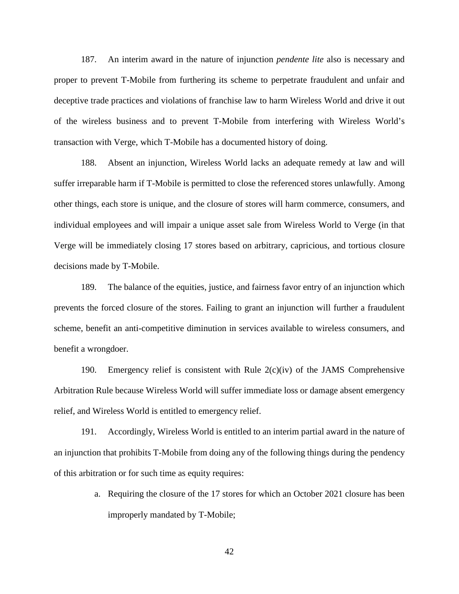187. An interim award in the nature of injunction *pendente lite* also is necessary and proper to prevent T-Mobile from furthering its scheme to perpetrate fraudulent and unfair and deceptive trade practices and violations of franchise law to harm Wireless World and drive it out of the wireless business and to prevent T-Mobile from interfering with Wireless World's transaction with Verge, which T-Mobile has a documented history of doing.

188. Absent an injunction, Wireless World lacks an adequate remedy at law and will suffer irreparable harm if T-Mobile is permitted to close the referenced stores unlawfully. Among other things, each store is unique, and the closure of stores will harm commerce, consumers, and individual employees and will impair a unique asset sale from Wireless World to Verge (in that Verge will be immediately closing 17 stores based on arbitrary, capricious, and tortious closure decisions made by T-Mobile.

189. The balance of the equities, justice, and fairness favor entry of an injunction which prevents the forced closure of the stores. Failing to grant an injunction will further a fraudulent scheme, benefit an anti-competitive diminution in services available to wireless consumers, and benefit a wrongdoer.

190. Emergency relief is consistent with Rule  $2(c)(iv)$  of the JAMS Comprehensive Arbitration Rule because Wireless World will suffer immediate loss or damage absent emergency relief, and Wireless World is entitled to emergency relief.

191. Accordingly, Wireless World is entitled to an interim partial award in the nature of an injunction that prohibits T-Mobile from doing any of the following things during the pendency of this arbitration or for such time as equity requires:

> a. Requiring the closure of the 17 stores for which an October 2021 closure has been improperly mandated by T-Mobile;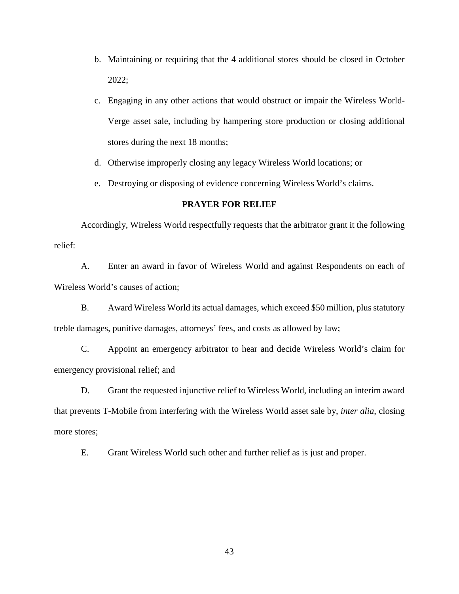- b. Maintaining or requiring that the 4 additional stores should be closed in October 2022;
- c. Engaging in any other actions that would obstruct or impair the Wireless World-Verge asset sale, including by hampering store production or closing additional stores during the next 18 months;
- d. Otherwise improperly closing any legacy Wireless World locations; or
- e. Destroying or disposing of evidence concerning Wireless World's claims.

## **PRAYER FOR RELIEF**

Accordingly, Wireless World respectfully requests that the arbitrator grant it the following relief:

A. Enter an award in favor of Wireless World and against Respondents on each of Wireless World's causes of action;

B. Award Wireless World its actual damages, which exceed \$50 million, plus statutory treble damages, punitive damages, attorneys' fees, and costs as allowed by law;

C. Appoint an emergency arbitrator to hear and decide Wireless World's claim for emergency provisional relief; and

D. Grant the requested injunctive relief to Wireless World, including an interim award that prevents T-Mobile from interfering with the Wireless World asset sale by, *inter alia*, closing more stores;

E. Grant Wireless World such other and further relief as is just and proper.